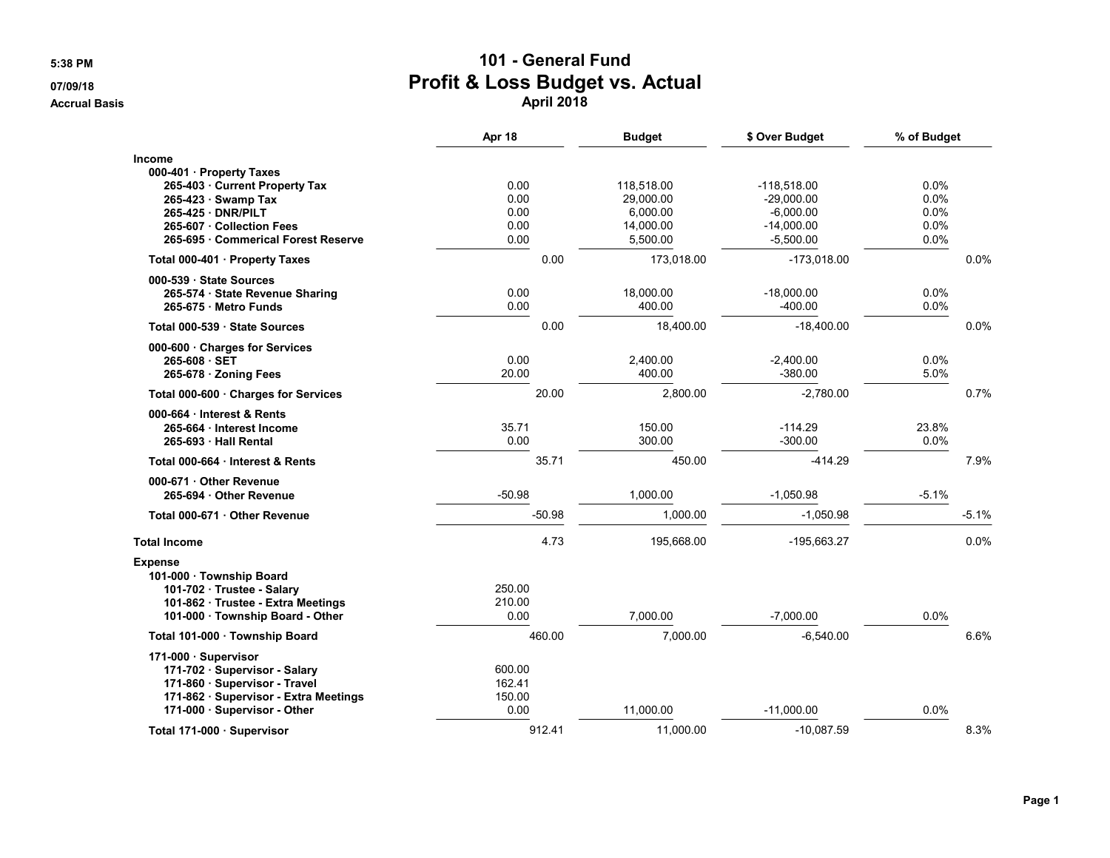## **5:38 PM 101 - General Fund 07/09/18 Profit & Loss Budget vs. Actual Accrual Basis April 2018**

|                                                                        | Apr 18           |      | <b>Budget</b> | \$ Over Budget | % of Budget |         |
|------------------------------------------------------------------------|------------------|------|---------------|----------------|-------------|---------|
| <b>Income</b><br>000-401 · Property Taxes                              |                  |      |               |                |             |         |
| 265-403 Current Property Tax                                           | 0.00             |      | 118,518.00    | $-118,518.00$  | $0.0\%$     |         |
| 265-423 · Swamp Tax                                                    | 0.00             |      | 29,000.00     | $-29,000.00$   | 0.0%        |         |
| 265-425 DNR/PILT                                                       | 0.00             |      | 6,000.00      | $-6,000.00$    | 0.0%        |         |
| 265-607 Collection Fees                                                | 0.00             |      | 14,000.00     | $-14,000.00$   | 0.0%        |         |
| 265-695 Commerical Forest Reserve                                      | 0.00             |      | 5,500.00      | $-5,500.00$    | 0.0%        |         |
| Total 000-401 · Property Taxes                                         |                  | 0.00 | 173,018.00    | $-173,018.00$  |             | 0.0%    |
| 000-539 State Sources                                                  |                  |      |               |                |             |         |
| 265-574 · State Revenue Sharing                                        | 0.00             |      | 18,000.00     | $-18,000.00$   | 0.0%        |         |
| 265-675 Metro Funds                                                    | 0.00             |      | 400.00        | $-400.00$      | $0.0\%$     |         |
| Total 000-539 · State Sources                                          |                  | 0.00 | 18,400.00     | $-18,400.00$   |             | 0.0%    |
| 000-600 · Charges for Services                                         |                  |      |               |                |             |         |
| 265-608 SET                                                            | 0.00             |      | 2,400.00      | $-2,400.00$    | 0.0%        |         |
| 265-678 · Zoning Fees                                                  | 20.00            |      | 400.00        | $-380.00$      | 5.0%        |         |
| Total 000-600 · Charges for Services                                   | 20.00            |      | 2,800.00      | $-2,780.00$    |             | 0.7%    |
| 000-664 Interest & Rents                                               |                  |      |               |                |             |         |
| 265-664 Interest Income                                                | 35.71            |      | 150.00        | $-114.29$      | 23.8%       |         |
| 265-693 Hall Rental                                                    | 0.00             |      | 300.00        | $-300.00$      | 0.0%        |         |
| Total 000-664 Interest & Rents                                         | 35.71            |      | 450.00        | $-414.29$      |             | 7.9%    |
| 000-671 Other Revenue                                                  |                  |      |               |                |             |         |
| 265-694 Other Revenue                                                  | $-50.98$         |      | 1,000.00      | $-1,050.98$    | $-5.1%$     |         |
| Total 000-671 Other Revenue                                            | $-50.98$         |      | 1,000.00      | $-1,050.98$    |             | $-5.1%$ |
| <b>Total Income</b>                                                    |                  | 4.73 | 195,668.00    | $-195,663.27$  |             | 0.0%    |
| <b>Expense</b>                                                         |                  |      |               |                |             |         |
| 101-000 · Township Board                                               |                  |      |               |                |             |         |
| 101-702 · Trustee - Salary                                             | 250.00           |      |               |                |             |         |
| 101-862 · Trustee - Extra Meetings<br>101-000 · Township Board - Other | 210.00<br>0.00   |      | 7,000.00      | $-7,000.00$    | 0.0%        |         |
|                                                                        |                  |      |               |                |             |         |
| Total 101-000 · Township Board                                         | 460.00           |      | 7,000.00      | $-6,540.00$    |             | 6.6%    |
| 171-000 · Supervisor                                                   |                  |      |               |                |             |         |
| 171-702 · Supervisor - Salary                                          | 600.00           |      |               |                |             |         |
| 171-860 · Supervisor - Travel<br>171-862 · Supervisor - Extra Meetings | 162.41<br>150.00 |      |               |                |             |         |
| 171-000 · Supervisor - Other                                           | 0.00             |      | 11,000.00     | $-11,000.00$   | 0.0%        |         |
| Total 171-000 · Supervisor                                             | 912.41           |      | 11,000.00     | $-10,087.59$   |             | 8.3%    |
|                                                                        |                  |      |               |                |             |         |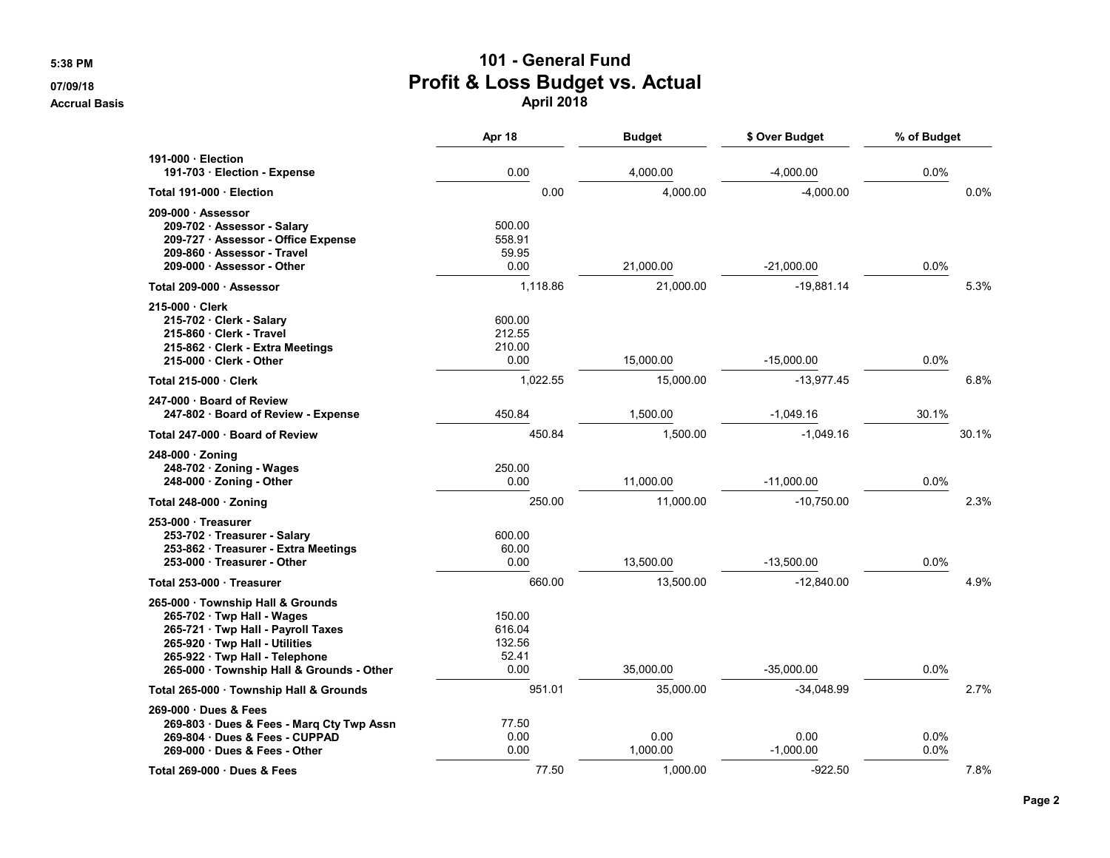## **5:38 PM 101 - General Fund 07/09/18 Profit & Loss Budget vs. Actual Accrual Basis April 2018**

|                                                                                                                                                                                                                      | Apr 18                                      | <b>Budget</b>    | \$ Over Budget      | % of Budget  |       |
|----------------------------------------------------------------------------------------------------------------------------------------------------------------------------------------------------------------------|---------------------------------------------|------------------|---------------------|--------------|-------|
| 191-000 Election<br>191-703 Election - Expense                                                                                                                                                                       | 0.00                                        | 4.000.00         | $-4.000.00$         | 0.0%         |       |
| Total 191-000 · Election                                                                                                                                                                                             | 0.00                                        | 4.000.00         | $-4,000.00$         |              | 0.0%  |
| 209-000 · Assessor<br>209-702 Assessor - Salary<br>209-727 · Assessor - Office Expense<br>209-860 Assessor - Travel<br>209-000 · Assessor - Other                                                                    | 500.00<br>558.91<br>59.95<br>0.00           | 21,000.00        | $-21,000.00$        | 0.0%         |       |
| Total 209-000 · Assessor                                                                                                                                                                                             | 1,118.86                                    | 21,000.00        | $-19,881.14$        |              | 5.3%  |
| 215-000 Clerk<br>215-702 · Clerk - Salary<br>215-860 Clerk - Travel<br>215-862 · Clerk - Extra Meetings<br>215-000 Clerk - Other                                                                                     | 600.00<br>212.55<br>210.00<br>0.00          | 15.000.00        | $-15,000.00$        | 0.0%         |       |
| Total 215-000 Clerk                                                                                                                                                                                                  | 1,022.55                                    | 15,000.00        | $-13,977.45$        |              | 6.8%  |
| 247-000 · Board of Review<br>247-802 Board of Review - Expense                                                                                                                                                       | 450.84                                      | 1,500.00         | $-1,049.16$         | 30.1%        |       |
| Total 247-000 · Board of Review                                                                                                                                                                                      | 450.84                                      | 1.500.00         | $-1,049.16$         |              | 30.1% |
| 248-000 · Zoning<br>248-702 · Zoning - Wages<br>248-000 · Zoning - Other                                                                                                                                             | 250.00<br>0.00                              | 11,000.00        | $-11,000.00$        | 0.0%         |       |
| Total 248-000 · Zoning                                                                                                                                                                                               | 250.00                                      | 11,000.00        | $-10,750.00$        |              | 2.3%  |
| 253-000 Treasurer<br>253-702 · Treasurer - Salary<br>253-862 · Treasurer - Extra Meetings<br>253-000 · Treasurer - Other                                                                                             | 600.00<br>60.00<br>0.00                     | 13,500.00        | $-13,500.00$        | 0.0%         |       |
| Total 253-000 Treasurer                                                                                                                                                                                              | 660.00                                      | 13,500.00        | $-12,840.00$        |              | 4.9%  |
| 265-000 · Township Hall & Grounds<br>265-702 Twp Hall - Wages<br>265-721 · Twp Hall - Payroll Taxes<br>265-920 · Twp Hall - Utilities<br>265-922 · Twp Hall - Telephone<br>265-000 · Township Hall & Grounds - Other | 150.00<br>616.04<br>132.56<br>52.41<br>0.00 | 35,000.00        | $-35,000.00$        | 0.0%         |       |
| Total 265-000 · Township Hall & Grounds                                                                                                                                                                              | 951.01                                      | 35,000.00        | $-34,048.99$        |              | 2.7%  |
| 269-000 · Dues & Fees<br>269-803 · Dues & Fees - Marq Cty Twp Assn<br>269-804 Dues & Fees - CUPPAD<br>269-000 Dues & Fees - Other                                                                                    | 77.50<br>0.00<br>0.00                       | 0.00<br>1,000.00 | 0.00<br>$-1.000.00$ | 0.0%<br>0.0% |       |
| Total 269-000 · Dues & Fees                                                                                                                                                                                          | 77.50                                       | 1.000.00         | $-922.50$           |              | 7.8%  |